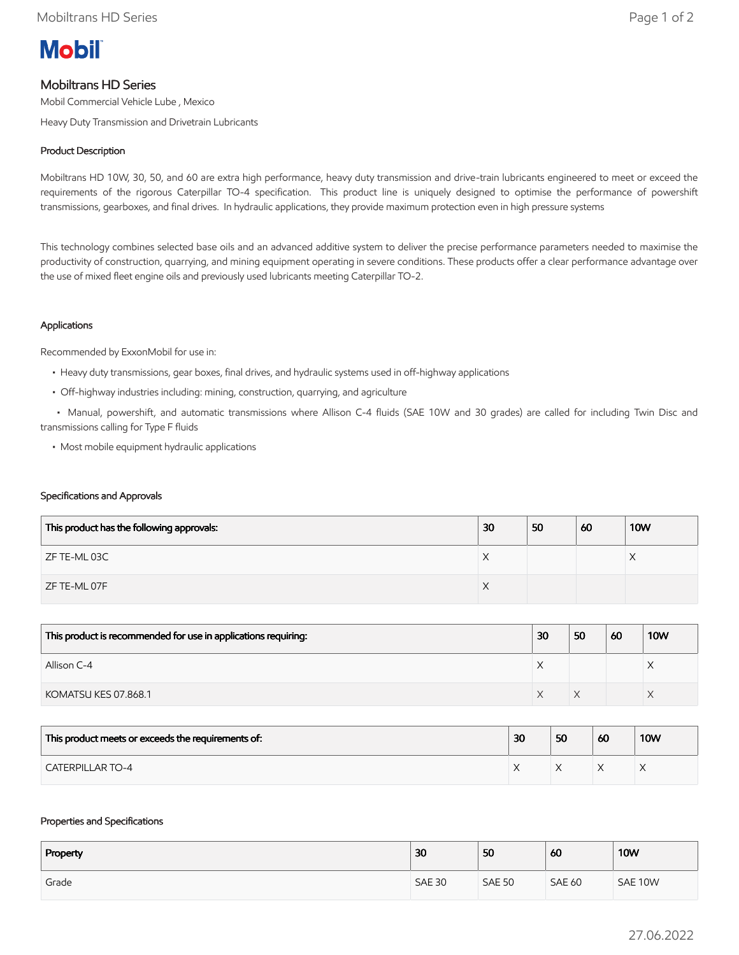

# Mobiltrans HD Series

Mobil Commercial Vehicle Lube , Mexico

Heavy Duty Transmission and Drivetrain Lubricants

### Product Description

Mobiltrans HD 10W, 30, 50, and 60 are extra high performance, heavy duty transmission and drive-train lubricants engineered to meet or exceed the requirements of the rigorous Caterpillar TO-4 specification. This product line is uniquely designed to optimise the performance of powershift transmissions, gearboxes, and final drives. In hydraulic applications, they provide maximum protection even in high pressure systems

This technology combines selected base oils and an advanced additive system to deliver the precise performance parameters needed to maximise the productivity of construction, quarrying, and mining equipment operating in severe conditions. These products offer a clear performance advantage over the use of mixed fleet engine oils and previously used lubricants meeting Caterpillar TO-2.

### Applications

Recommended by ExxonMobil for use in:

- Heavy duty transmissions, gear boxes, final drives, and hydraulic systems used in off-highway applications
- Off-highway industries including: mining, construction, quarrying, and agriculture

 • Manual, powershift, and automatic transmissions where Allison C-4 fluids (SAE 10W and 30 grades) are called for including Twin Disc and transmissions calling for Type F fluids

• Most mobile equipment hydraulic applications

#### Specifications and Approvals

| This product has the following approvals: | 30 | 50 | 60 | <b>10W</b> |
|-------------------------------------------|----|----|----|------------|
| ZF TE-ML 03C                              | ⌒  |    |    |            |
| ZF TE-ML 07F                              | ∧  |    |    |            |

| This product is recommended for use in applications requiring: | 30 | 50 | 60 | <b>10W</b> |
|----------------------------------------------------------------|----|----|----|------------|
| Allison C-4                                                    |    |    |    |            |
| KOMATSU KES 07.868.1                                           |    |    |    |            |

| This product meets or exceeds the requirements of: | 30 | 50 | 60 | <b>10W</b> |
|----------------------------------------------------|----|----|----|------------|
| <b>CATERPILLAR TO-4</b>                            |    |    |    |            |

#### Properties and Specifications

| Property | 30            | 50            | 60            | <b>10W</b> |
|----------|---------------|---------------|---------------|------------|
| Grade    | <b>SAE 30</b> | <b>SAE 50</b> | <b>SAE 60</b> | SAE 10W    |